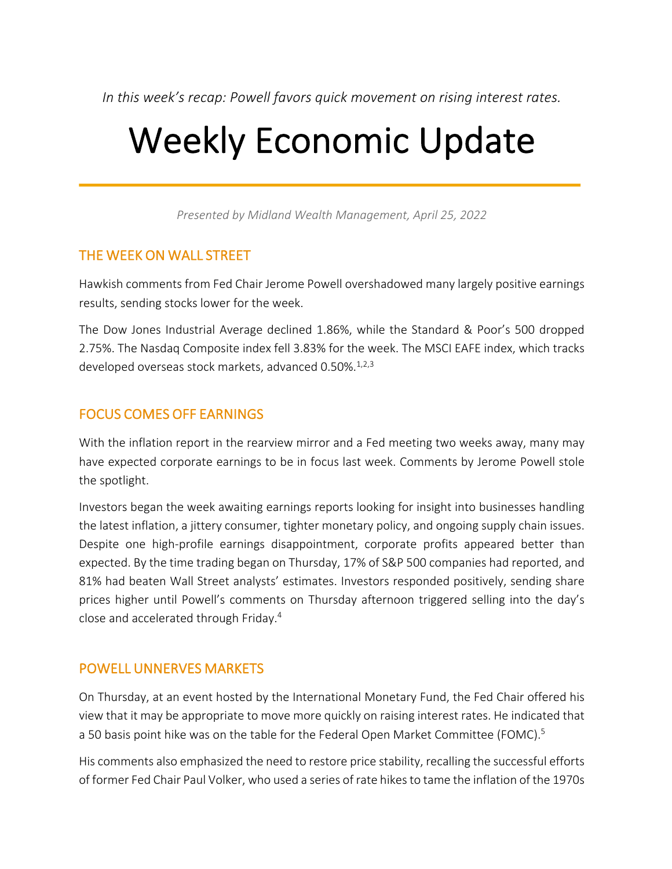*In this week's recap: Powell favors quick movement on rising interest rates.*

# Weekly Economic Update

*Presented by Midland Wealth Management, April 25, 2022*

### THE WEEK ON WALL STREET

Hawkish comments from Fed Chair Jerome Powell overshadowed many largely positive earnings results, sending stocks lower for the week.

The Dow Jones Industrial Average declined 1.86%, while the Standard & Poor's 500 dropped 2.75%. The Nasdaq Composite index fell 3.83% for the week. The MSCI EAFE index, which tracks developed overseas stock markets, advanced 0.50%.<sup>1,2,3</sup>

# FOCUS COMES OFF EARNINGS

With the inflation report in the rearview mirror and a Fed meeting two weeks away, many may have expected corporate earnings to be in focus last week. Comments by Jerome Powell stole the spotlight.

Investors began the week awaiting earnings reports looking for insight into businesses handling the latest inflation, a jittery consumer, tighter monetary policy, and ongoing supply chain issues. Despite one high-profile earnings disappointment, corporate profits appeared better than expected. By the time trading began on Thursday, 17% of S&P 500 companies had reported, and 81% had beaten Wall Street analysts' estimates. Investors responded positively, sending share prices higher until Powell's comments on Thursday afternoon triggered selling into the day's close and accelerated through Friday. 4

# POWELL UNNERVES MARKETS

On Thursday, at an event hosted by the International Monetary Fund, the Fed Chair offered his view that it may be appropriate to move more quickly on raising interest rates. He indicated that a 50 basis point hike was on the table for the Federal Open Market Committee (FOMC).<sup>5</sup>

His comments also emphasized the need to restore price stability, recalling the successful efforts of former Fed Chair Paul Volker, who used a series of rate hikes to tame the inflation of the 1970s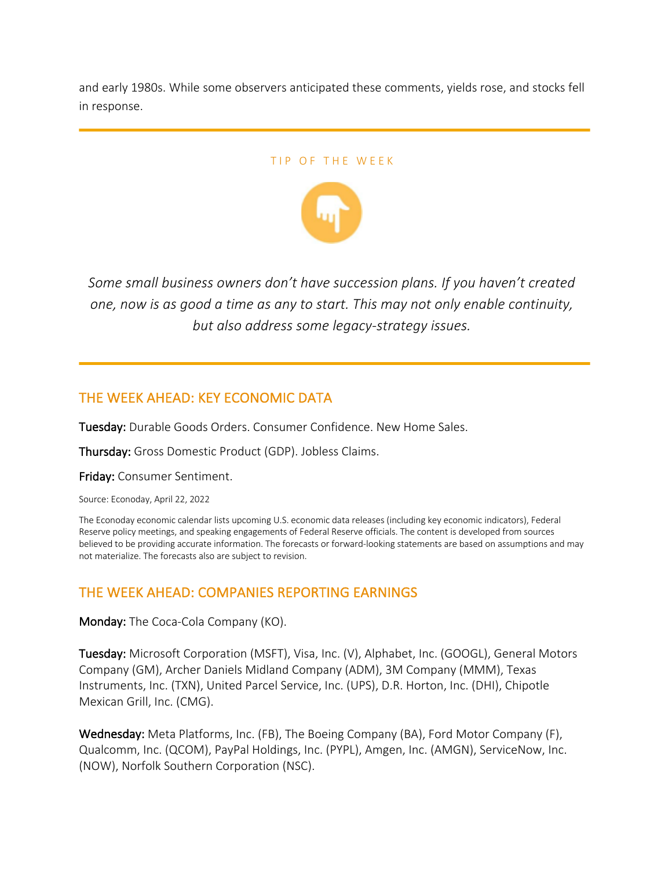and early 1980s. While some observers anticipated these comments, yields rose, and stocks fell in response.

#### TIP OF THE WEEK



*Some small business owners don't have succession plans. If you haven't created one, now is as good a time as any to start. This may not only enable continuity, but also address some legacy-strategy issues.*

# THE WEEK AHEAD: KEY ECONOMIC DATA

Tuesday: Durable Goods Orders. Consumer Confidence. New Home Sales.

Thursday: Gross Domestic Product (GDP). Jobless Claims.

Friday: Consumer Sentiment.

Source: Econoday, April 22, 2022

The Econoday economic calendar lists upcoming U.S. economic data releases (including key economic indicators), Federal Reserve policy meetings, and speaking engagements of Federal Reserve officials. The content is developed from sources believed to be providing accurate information. The forecasts or forward-looking statements are based on assumptions and may not materialize. The forecasts also are subject to revision.

# THE WEEK AHEAD: COMPANIES REPORTING EARNINGS

Monday: The Coca-Cola Company (KO).

Tuesday: Microsoft Corporation (MSFT), Visa, Inc. (V), Alphabet, Inc. (GOOGL), General Motors Company (GM), Archer Daniels Midland Company (ADM), 3M Company (MMM), Texas Instruments, Inc. (TXN), United Parcel Service, Inc. (UPS), D.R. Horton, Inc. (DHI), Chipotle Mexican Grill, Inc. (CMG).

Wednesday: Meta Platforms, Inc. (FB), The Boeing Company (BA), Ford Motor Company (F), Qualcomm, Inc. (QCOM), PayPal Holdings, Inc. (PYPL), Amgen, Inc. (AMGN), ServiceNow, Inc. (NOW), Norfolk Southern Corporation (NSC).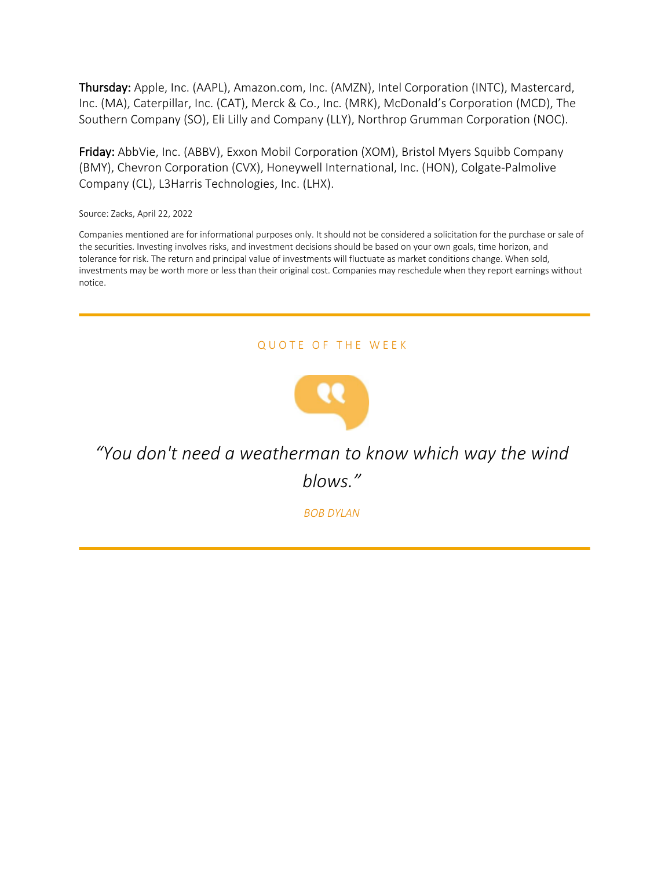Thursday: Apple, Inc. (AAPL), Amazon.com, Inc. (AMZN), Intel Corporation (INTC), Mastercard, Inc. (MA), Caterpillar, Inc. (CAT), Merck & Co., Inc. (MRK), McDonald's Corporation (MCD), The Southern Company (SO), Eli Lilly and Company (LLY), Northrop Grumman Corporation (NOC).

Friday: AbbVie, Inc. (ABBV), Exxon Mobil Corporation (XOM), Bristol Myers Squibb Company (BMY), Chevron Corporation (CVX), Honeywell International, Inc. (HON), Colgate-Palmolive Company (CL), L3Harris Technologies, Inc. (LHX).

Source: Zacks, April 22, 2022

Companies mentioned are for informational purposes only. It should not be considered a solicitation for the purchase or sale of the securities. Investing involves risks, and investment decisions should be based on your own goals, time horizon, and tolerance for risk. The return and principal value of investments will fluctuate as market conditions change. When sold, investments may be worth more or less than their original cost. Companies may reschedule when they report earnings without notice.

#### QUOTE OF THE WEEK



*"You don't need a weatherman to know which way the wind blows."*

*BOB DYLAN*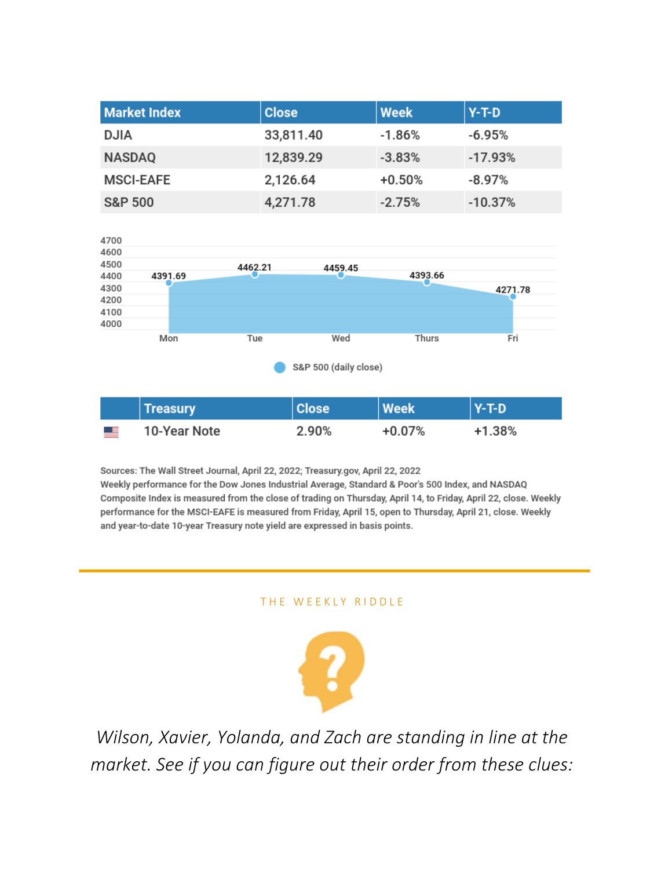| <b>Market Index</b> | <b>Close</b> | <b>Week</b> | $Y-T-D$   |
|---------------------|--------------|-------------|-----------|
| <b>DJIA</b>         | 33,811.40    | $-1.86%$    | $-6.95%$  |
| <b>NASDAQ</b>       | 12,839.29    | $-3.83%$    | $-17.93%$ |
| <b>MSCI-EAFE</b>    | 2,126.64     | $+0.50%$    | $-8.97\%$ |
| <b>S&amp;P 500</b>  | 4,271.78     | $-2.75%$    | $-10.37%$ |



|           | <b>Treasury</b> | <b>Close</b> | <b>Week</b> | $Y-T-D$ |
|-----------|-----------------|--------------|-------------|---------|
| <u>ma</u> | 10-Year Note    | 2.90%        | $+0.07%$    | +1.38%  |

Sources: The Wall Street Journal, April 22, 2022; Treasury.gov, April 22, 2022 Weekly performance for the Dow Jones Industrial Average, Standard & Poor's 500 Index, and NASDAQ Composite Index is measured from the close of trading on Thursday, April 14, to Friday, April 22, close. Weekly performance for the MSCI-EAFE is measured from Friday, April 15, open to Thursday, April 21, close. Weekly and year-to-date 10-year Treasury note yield are expressed in basis points.

#### THE WEEKLY RIDDLE



*Wilson, Xavier, Yolanda, and Zach are standing in line at the market. See if you can figure out their order from these clues:*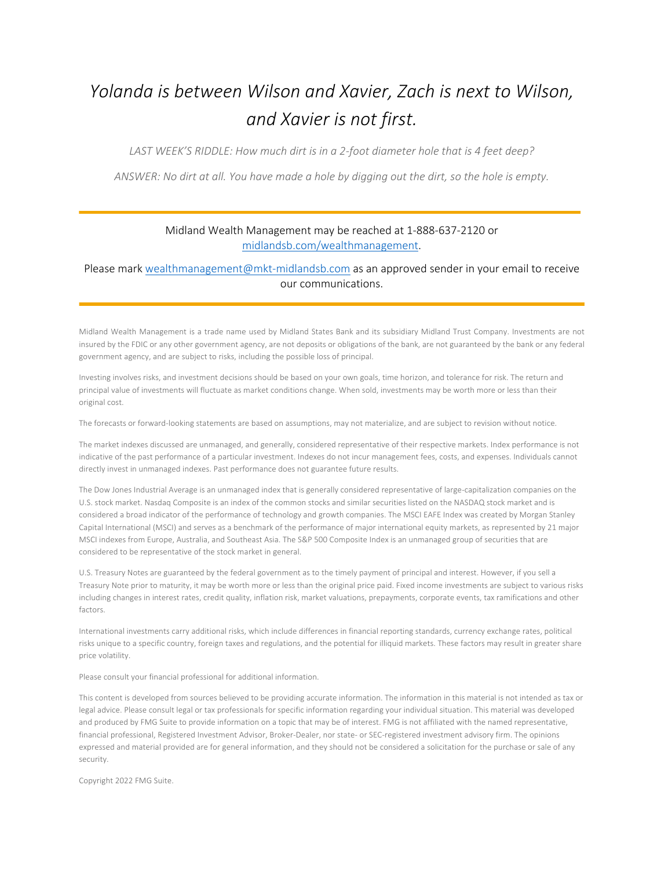# *Yolanda is between Wilson and Xavier, Zach is next to Wilson, and Xavier is not first.*

*LAST WEEK'S RIDDLE: How much dirt is in a 2-foot diameter hole that is 4 feet deep?*

*ANSWER: No dirt at all. You have made a hole by digging out the dirt, so the hole is empty.*

#### Midland Wealth Management may be reached at 1-888-637-2120 or midlandsb.com/wealthmanagement.

#### Please mark wealthmanagement@mkt-midlandsb.com as an approved sender in your email to receive our communications.

Midland Wealth Management is a trade name used by Midland States Bank and its subsidiary Midland Trust Company. Investments are not insured by the FDIC or any other government agency, are not deposits or obligations of the bank, are not guaranteed by the bank or any federal government agency, and are subject to risks, including the possible loss of principal.

Investing involves risks, and investment decisions should be based on your own goals, time horizon, and tolerance for risk. The return and principal value of investments will fluctuate as market conditions change. When sold, investments may be worth more or less than their original cost.

The forecasts or forward-looking statements are based on assumptions, may not materialize, and are subject to revision without notice.

The market indexes discussed are unmanaged, and generally, considered representative of their respective markets. Index performance is not indicative of the past performance of a particular investment. Indexes do not incur management fees, costs, and expenses. Individuals cannot directly invest in unmanaged indexes. Past performance does not guarantee future results.

The Dow Jones Industrial Average is an unmanaged index that is generally considered representative of large-capitalization companies on the U.S. stock market. Nasdaq Composite is an index of the common stocks and similar securities listed on the NASDAQ stock market and is considered a broad indicator of the performance of technology and growth companies. The MSCI EAFE Index was created by Morgan Stanley Capital International (MSCI) and serves as a benchmark of the performance of major international equity markets, as represented by 21 major MSCI indexes from Europe, Australia, and Southeast Asia. The S&P 500 Composite Index is an unmanaged group of securities that are considered to be representative of the stock market in general.

U.S. Treasury Notes are guaranteed by the federal government as to the timely payment of principal and interest. However, if you sell a Treasury Note prior to maturity, it may be worth more or less than the original price paid. Fixed income investments are subject to various risks including changes in interest rates, credit quality, inflation risk, market valuations, prepayments, corporate events, tax ramifications and other factors.

International investments carry additional risks, which include differences in financial reporting standards, currency exchange rates, political risks unique to a specific country, foreign taxes and regulations, and the potential for illiquid markets. These factors may result in greater share price volatility.

Please consult your financial professional for additional information.

This content is developed from sources believed to be providing accurate information. The information in this material is not intended as tax or legal advice. Please consult legal or tax professionals for specific information regarding your individual situation. This material was developed and produced by FMG Suite to provide information on a topic that may be of interest. FMG is not affiliated with the named representative, financial professional, Registered Investment Advisor, Broker-Dealer, nor state- or SEC-registered investment advisory firm. The opinions expressed and material provided are for general information, and they should not be considered a solicitation for the purchase or sale of any security.

Copyright 2022 FMG Suite.